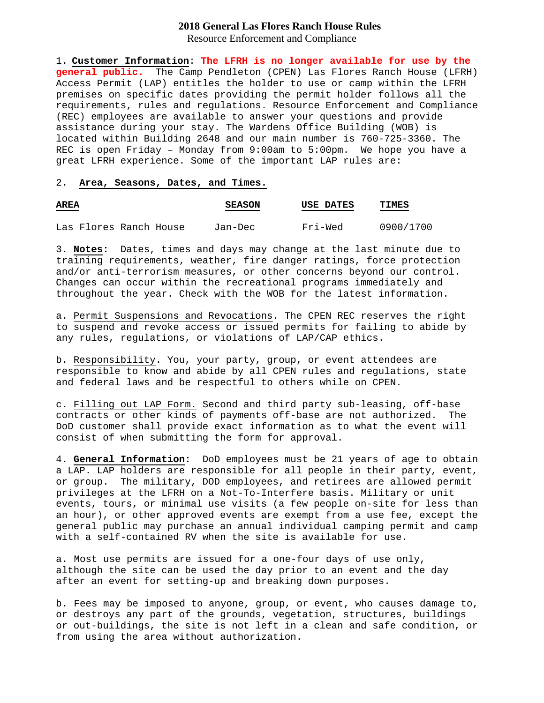## **2018 General Las Flores Ranch House Rules** Resource Enforcement and Compliance

1. **Customer Information**: **The LFRH is no longer available for use by the general public.** The Camp Pendleton (CPEN) Las Flores Ranch House (LFRH) Access Permit (LAP) entitles the holder to use or camp within the LFRH premises on specific dates providing the permit holder follows all the

requirements, rules and regulations. Resource Enforcement and Compliance (REC) employees are available to answer your questions and provide assistance during your stay. The Wardens Office Building (WOB) is located within Building 2648 and our main number is 760-725-3360. The REC is open Friday – Monday from 9:00am to 5:00pm. We hope you have a great LFRH experience. Some of the important LAP rules are:

#### 2. **Area, Seasons, Dates, and Times.**

| <b>AREA</b><br><b>Contract Contract Contract Contract</b> |                        |  | <b>SEASON</b> | USE DATES | TIMES     |
|-----------------------------------------------------------|------------------------|--|---------------|-----------|-----------|
|                                                           | Las Flores Ranch House |  | Jan-Dec       | Fri-Wed   | 0900/1700 |

3. **Notes:** Dates, times and days may change at the last minute due to training requirements, weather, fire danger ratings, force protection and/or anti-terrorism measures, or other concerns beyond our control. Changes can occur within the recreational programs immediately and throughout the year. Check with the WOB for the latest information.

a. Permit Suspensions and Revocations. The CPEN REC reserves the right to suspend and revoke access or issued permits for failing to abide by any rules, regulations, or violations of LAP/CAP ethics.

b. Responsibility. You, your party, group, or event attendees are responsible to know and abide by all CPEN rules and regulations, state and federal laws and be respectful to others while on CPEN.

c. Filling out LAP Form. Second and third party sub-leasing, off-base contracts or other kinds of payments off-base are not authorized. The DoD customer shall provide exact information as to what the event will consist of when submitting the form for approval.

4. **General Information:** DoD employees must be 21 years of age to obtain a LAP. LAP holders are responsible for all people in their party, event, or group. The military, DOD employees, and retirees are allowed permit privileges at the LFRH on a Not-To-Interfere basis. Military or unit events, tours, or minimal use visits (a few people on-site for less than an hour), or other approved events are exempt from a use fee, except the general public may purchase an annual individual camping permit and camp with a self-contained RV when the site is available for use.

a. Most use permits are issued for a one-four days of use only, although the site can be used the day prior to an event and the day after an event for setting-up and breaking down purposes.

b. Fees may be imposed to anyone, group, or event, who causes damage to, or destroys any part of the grounds, vegetation, structures, buildings or out-buildings, the site is not left in a clean and safe condition, or from using the area without authorization.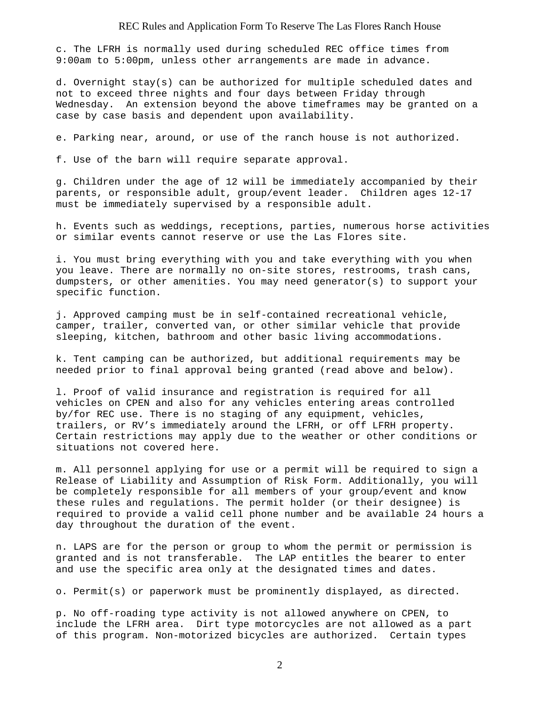c. The LFRH is normally used during scheduled REC office times from 9:00am to 5:00pm, unless other arrangements are made in advance.

d. Overnight stay(s) can be authorized for multiple scheduled dates and not to exceed three nights and four days between Friday through Wednesday. An extension beyond the above timeframes may be granted on a case by case basis and dependent upon availability.

e. Parking near, around, or use of the ranch house is not authorized.

f. Use of the barn will require separate approval.

g. Children under the age of 12 will be immediately accompanied by their parents, or responsible adult, group/event leader. Children ages 12-17 must be immediately supervised by a responsible adult.

h. Events such as weddings, receptions, parties, numerous horse activities or similar events cannot reserve or use the Las Flores site.

i. You must bring everything with you and take everything with you when you leave. There are normally no on-site stores, restrooms, trash cans, dumpsters, or other amenities. You may need generator(s) to support your specific function.

j. Approved camping must be in self-contained recreational vehicle, camper, trailer, converted van, or other similar vehicle that provide sleeping, kitchen, bathroom and other basic living accommodations.

k. Tent camping can be authorized, but additional requirements may be needed prior to final approval being granted (read above and below).

l. Proof of valid insurance and registration is required for all vehicles on CPEN and also for any vehicles entering areas controlled by/for REC use. There is no staging of any equipment, vehicles, trailers, or RV's immediately around the LFRH, or off LFRH property. Certain restrictions may apply due to the weather or other conditions or situations not covered here.

m. All personnel applying for use or a permit will be required to sign a Release of Liability and Assumption of Risk Form. Additionally, you will be completely responsible for all members of your group/event and know these rules and regulations. The permit holder (or their designee) is required to provide a valid cell phone number and be available 24 hours a day throughout the duration of the event.

n. LAPS are for the person or group to whom the permit or permission is granted and is not transferable. The LAP entitles the bearer to enter and use the specific area only at the designated times and dates.

o. Permit(s) or paperwork must be prominently displayed, as directed.

p. No off-roading type activity is not allowed anywhere on CPEN, to include the LFRH area. Dirt type motorcycles are not allowed as a part of this program. Non-motorized bicycles are authorized. Certain types

2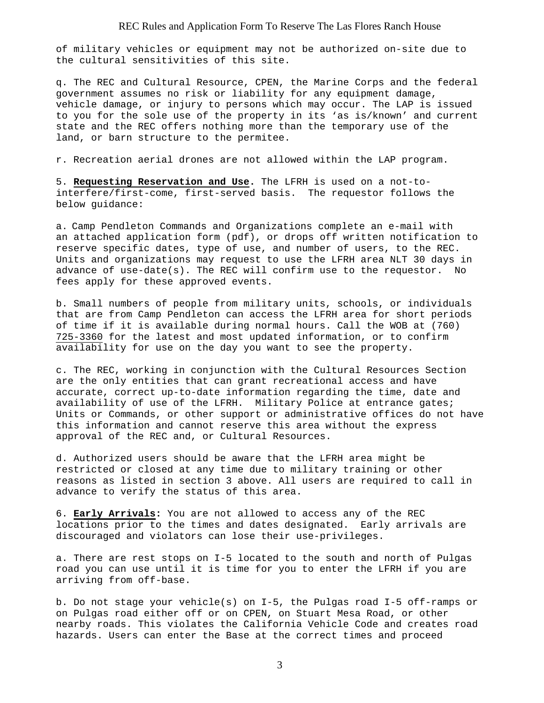of military vehicles or equipment may not be authorized on-site due to the cultural sensitivities of this site.

q. The REC and Cultural Resource, CPEN, the Marine Corps and the federal government assumes no risk or liability for any equipment damage, vehicle damage, or injury to persons which may occur. The LAP is issued to you for the sole use of the property in its 'as is/known' and current state and the REC offers nothing more than the temporary use of the land, or barn structure to the permitee.

r. Recreation aerial drones are not allowed within the LAP program.

5. **Requesting Reservation and Use.** The LFRH is used on a not-tointerfere/first-come, first-served basis. The requestor follows the below guidance:

a. Camp Pendleton Commands and Organizations complete an e-mail with an attached application form (pdf), or drops off written notification to reserve specific dates, type of use, and number of users, to the REC. Units and organizations may request to use the LFRH area NLT 30 days in advance of use-date(s). The REC will confirm use to the requestor. No fees apply for these approved events.

b. Small numbers of people from military units, schools, or individuals that are from Camp Pendleton can access the LFRH area for short periods of time if it is available during normal hours. Call the WOB at (760) 725-3360 for the latest and most updated information, or to confirm availability for use on the day you want to see the property.

c. The REC, working in conjunction with the Cultural Resources Section are the only entities that can grant recreational access and have accurate, correct up-to-date information regarding the time, date and availability of use of the LFRH. Military Police at entrance gates; Units or Commands, or other support or administrative offices do not have this information and cannot reserve this area without the express approval of the REC and, or Cultural Resources.

d. Authorized users should be aware that the LFRH area might be restricted or closed at any time due to military training or other reasons as listed in section 3 above. All users are required to call in advance to verify the status of this area.

6. **Early Arrivals:** You are not allowed to access any of the REC locations prior to the times and dates designated. Early arrivals are discouraged and violators can lose their use-privileges.

a. There are rest stops on I-5 located to the south and north of Pulgas road you can use until it is time for you to enter the LFRH if you are arriving from off-base.

b. Do not stage your vehicle(s) on I-5, the Pulgas road I-5 off-ramps or on Pulgas road either off or on CPEN, on Stuart Mesa Road, or other nearby roads. This violates the California Vehicle Code and creates road hazards. Users can enter the Base at the correct times and proceed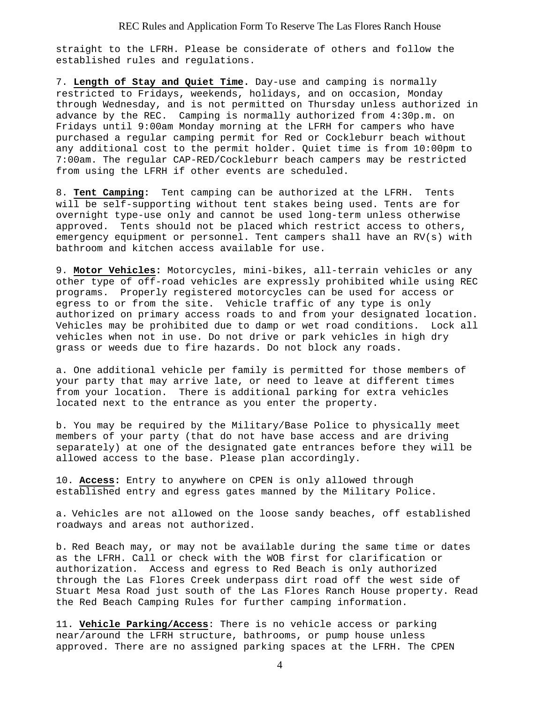straight to the LFRH. Please be considerate of others and follow the established rules and regulations.

7. **Length of Stay and Quiet Time.** Day-use and camping is normally restricted to Fridays, weekends, holidays, and on occasion, Monday through Wednesday, and is not permitted on Thursday unless authorized in advance by the REC. Camping is normally authorized from 4:30p.m. on Fridays until 9:00am Monday morning at the LFRH for campers who have purchased a regular camping permit for Red or Cockleburr beach without any additional cost to the permit holder. Quiet time is from 10:00pm to 7:00am. The regular CAP-RED/Cockleburr beach campers may be restricted from using the LFRH if other events are scheduled.

8. **Tent Camping:** Tent camping can be authorized at the LFRH. Tents will be self-supporting without tent stakes being used. Tents are for overnight type-use only and cannot be used long-term unless otherwise approved. Tents should not be placed which restrict access to others, emergency equipment or personnel. Tent campers shall have an RV(s) with bathroom and kitchen access available for use.

9. **Motor Vehicles:** Motorcycles, mini-bikes, all-terrain vehicles or any other type of off-road vehicles are expressly prohibited while using REC programs. Properly registered motorcycles can be used for access or egress to or from the site. Vehicle traffic of any type is only authorized on primary access roads to and from your designated location. Vehicles may be prohibited due to damp or wet road conditions. Lock all vehicles when not in use. Do not drive or park vehicles in high dry grass or weeds due to fire hazards. Do not block any roads.

a. One additional vehicle per family is permitted for those members of your party that may arrive late, or need to leave at different times from your location. There is additional parking for extra vehicles located next to the entrance as you enter the property.

b. You may be required by the Military/Base Police to physically meet members of your party (that do not have base access and are driving separately) at one of the designated gate entrances before they will be allowed access to the base. Please plan accordingly.

10. **Access:** Entry to anywhere on CPEN is only allowed through established entry and egress gates manned by the Military Police.

a. Vehicles are not allowed on the loose sandy beaches, off established roadways and areas not authorized.

b. Red Beach may, or may not be available during the same time or dates as the LFRH. Call or check with the WOB first for clarification or authorization. Access and egress to Red Beach is only authorized through the Las Flores Creek underpass dirt road off the west side of Stuart Mesa Road just south of the Las Flores Ranch House property. Read the Red Beach Camping Rules for further camping information.

11. **Vehicle Parking/Access**: There is no vehicle access or parking near/around the LFRH structure, bathrooms, or pump house unless approved. There are no assigned parking spaces at the LFRH. The CPEN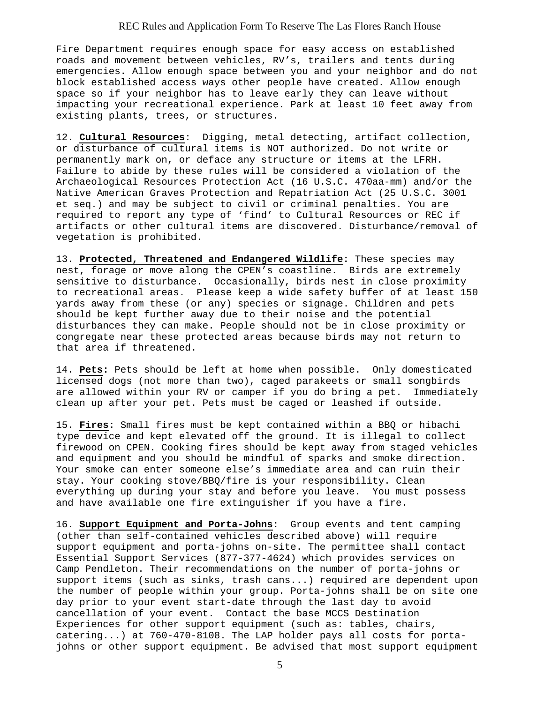### REC Rules and Application Form To Reserve The Las Flores Ranch House

Fire Department requires enough space for easy access on established roads and movement between vehicles, RV's, trailers and tents during emergencies**.** Allow enough space between you and your neighbor and do not block established access ways other people have created. Allow enough space so if your neighbor has to leave early they can leave without impacting your recreational experience. Park at least 10 feet away from existing plants, trees, or structures.

12. **Cultural Resources**: Digging, metal detecting, artifact collection, or disturbance of cultural items is NOT authorized. Do not write or permanently mark on, or deface any structure or items at the LFRH. Failure to abide by these rules will be considered a violation of the Archaeological Resources Protection Act (16 U.S.C. 470aa-mm) and/or the Native American Graves Protection and Repatriation Act (25 U.S.C. 3001 et seq.) and may be subject to civil or criminal penalties. You are required to report any type of 'find' to Cultural Resources or REC if artifacts or other cultural items are discovered. Disturbance/removal of vegetation is prohibited.

13. **Protected, Threatened and Endangered Wildlife:** These species may nest, forage or move along the CPEN's coastline. Birds are extremely sensitive to disturbance. Occasionally, birds nest in close proximity to recreational areas. Please keep a wide safety buffer of at least 150 yards away from these (or any) species or signage. Children and pets should be kept further away due to their noise and the potential disturbances they can make. People should not be in close proximity or congregate near these protected areas because birds may not return to that area if threatened.

14. **Pets:** Pets should be left at home when possible. Only domesticated licensed dogs (not more than two), caged parakeets or small songbirds are allowed within your RV or camper if you do bring a pet. Immediately clean up after your pet. Pets must be caged or leashed if outside.

15. **Fires:** Small fires must be kept contained within a BBQ or hibachi type device and kept elevated off the ground. It is illegal to collect firewood on CPEN. Cooking fires should be kept away from staged vehicles and equipment and you should be mindful of sparks and smoke direction. Your smoke can enter someone else's immediate area and can ruin their stay. Your cooking stove/BBQ/fire is your responsibility. Clean everything up during your stay and before you leave. You must possess and have available one fire extinguisher if you have a fire.

16. **Support Equipment and Porta-Johns**: Group events and tent camping (other than self-contained vehicles described above) will require support equipment and porta-johns on-site. The permittee shall contact Essential Support Services (877-377-4624) which provides services on Camp Pendleton. Their recommendations on the number of porta-johns or support items (such as sinks, trash cans...) required are dependent upon the number of people within your group. Porta-johns shall be on site one day prior to your event start-date through the last day to avoid cancellation of your event. Contact the base MCCS Destination Experiences for other support equipment (such as: tables, chairs, catering...) at 760-470-8108. The LAP holder pays all costs for portajohns or other support equipment. Be advised that most support equipment

5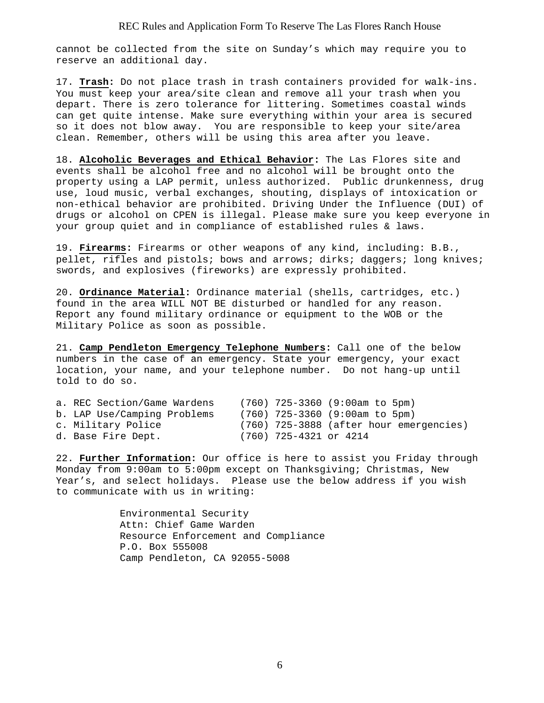## REC Rules and Application Form To Reserve The Las Flores Ranch House

cannot be collected from the site on Sunday's which may require you to reserve an additional day.

17. **Trash:** Do not place trash in trash containers provided for walk-ins. You must keep your area/site clean and remove all your trash when you depart. There is zero tolerance for littering. Sometimes coastal winds can get quite intense. Make sure everything within your area is secured so it does not blow away. You are responsible to keep your site/area clean. Remember, others will be using this area after you leave.

18. **Alcoholic Beverages and Ethical Behavior:** The Las Flores site and events shall be alcohol free and no alcohol will be brought onto the property using a LAP permit, unless authorized. Public drunkenness, drug use, loud music, verbal exchanges, shouting, displays of intoxication or non-ethical behavior are prohibited. Driving Under the Influence (DUI) of drugs or alcohol on CPEN is illegal. Please make sure you keep everyone in your group quiet and in compliance of established rules & laws.

19. **Firearms:** Firearms or other weapons of any kind, including: B.B., pellet, rifles and pistols; bows and arrows; dirks; daggers; long knives; swords, and explosives (fireworks) are expressly prohibited.

20. **Ordinance Material:** Ordinance material (shells, cartridges, etc.) found in the area WILL NOT BE disturbed or handled for any reason. Report any found military ordinance or equipment to the WOB or the Military Police as soon as possible.

21. **Camp Pendleton Emergency Telephone Numbers:** Call one of the below numbers in the case of an emergency. State your emergency, your exact location, your name, and your telephone number. Do not hang-up until told to do so.

| a. REC Section/Game Wardens |                        | $(760)$ 725-3360 (9:00am to 5pm)          |
|-----------------------------|------------------------|-------------------------------------------|
| b. LAP Use/Camping Problems |                        | $(760)$ 725-3360 (9:00am to 5pm)          |
| c. Military Police          |                        | $(760)$ 725-3888 (after hour emergencies) |
| d. Base Fire Dept.          | (760) 725-4321 or 4214 |                                           |

22. **Further Information:** Our office is here to assist you Friday through Monday from 9:00am to 5:00pm except on Thanksgiving; Christmas, New Year's, and select holidays. Please use the below address if you wish to communicate with us in writing:

> Environmental Security Attn: Chief Game Warden Resource Enforcement and Compliance P.O. Box 555008 Camp Pendleton, CA 92055-5008